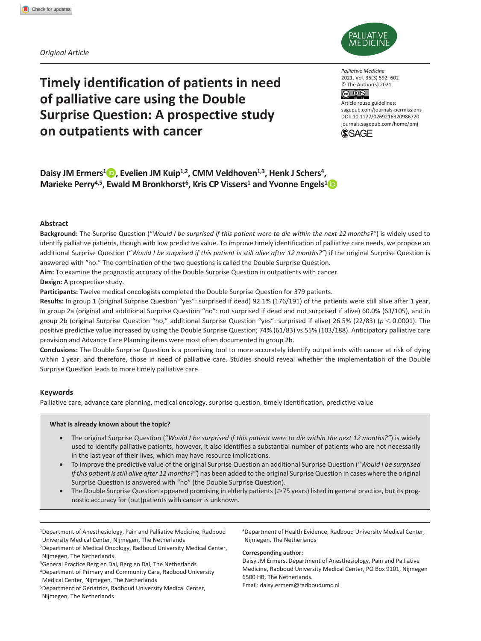*Original Article*



**Timely identification of patients in need of palliative care using the Double Surprise Question: A prospective study on outpatients with cancer**

*Palliative Medicine* 2021, Vol. 35(3) 592–602 © The Author(s) 2021  $\circledcirc$   $\circledcirc$ 

DOI: 10.1177/0269216320986720 Article reuse guidelines: [sagepub.com/journals-permissions](https://uk.sagepub.com/en-gb/journals-permissions) [journals.sagepub.com/home/pmj](http://journals.sagepub.com/home/pmj)



Daisy JM Ermers<sup>1</sup> **D**, Evelien JM Kuip<sup>1,2</sup>, CMM Veldhoven<sup>1,3</sup>, Henk J Schers<sup>4</sup>, **Marieke Perry<sup>4,5</sup>, Ewald M Bronkhorst<sup>6</sup>, Kris CP Vissers<sup>1</sup> and Yvonne Engels<sup>1</sup>** 

### **Abstract**

**Background:** The Surprise Question ("*Would I be surprised if this patient were to die within the next 12 months?"*) is widely used to identify palliative patients, though with low predictive value. To improve timely identification of palliative care needs, we propose an additional Surprise Question ("*Would I be surprised if this patient is still alive after 12 months?"*) if the original Surprise Question is answered with "no." The combination of the two questions is called the Double Surprise Question.

**Aim:** To examine the prognostic accuracy of the Double Surprise Question in outpatients with cancer.

### **Design:** A prospective study.

**Participants:** Twelve medical oncologists completed the Double Surprise Question for 379 patients.

**Results:** In group 1 (original Surprise Question "yes": surprised if dead) 92.1% (176/191) of the patients were still alive after 1 year, in group 2a (original and additional Surprise Question "no": not surprised if dead and not surprised if alive) 60.0% (63/105), and in group 2b (original Surprise Question "no," additional Surprise Question "yes": surprised if alive) 26.5% (22/83) (*p* < 0.0001). The positive predictive value increased by using the Double Surprise Question; 74% (61/83) vs 55% (103/188). Anticipatory palliative care provision and Advance Care Planning items were most often documented in group 2b.

**Conclusions:** The Double Surprise Question is a promising tool to more accurately identify outpatients with cancer at risk of dying within 1 year, and therefore, those in need of palliative care. Studies should reveal whether the implementation of the Double Surprise Question leads to more timely palliative care.

### **Keywords**

Palliative care, advance care planning, medical oncology, surprise question, timely identification, predictive value

### **What is already known about the topic?**

- The original Surprise Question ("*Would I be surprised if this patient were to die within the next 12 months?"*) is widely used to identify palliative patients, however, it also identifies a substantial number of patients who are not necessarily in the last year of their lives, which may have resource implications.
- To improve the predictive value of the original Surprise Question an additional Surprise Question ("*Would I be surprised if this patient is still alive after 12 months?"*) has been added to the original Surprise Question in cases where the original Surprise Question is answered with "no" (the Double Surprise Question).
- The Double Surprise Question appeared promising in elderly patients (≥75 years) listed in general practice, but its prognostic accuracy for (out)patients with cancer is unknown.

1Department of Anesthesiology, Pain and Palliative Medicine, Radboud University Medical Center, Nijmegen, The Netherlands

2Department of Medical Oncology, Radboud University Medical Center, Nijmegen, The Netherlands

<sup>3</sup>General Practice Berg en Dal, Berg en Dal, The Netherlands

4Department of Primary and Community Care, Radboud University Medical Center, Nijmegen, The Netherlands

5Department of Geriatrics, Radboud University Medical Center, Nijmegen, The Netherlands

6Department of Health Evidence, Radboud University Medical Center, Nijmegen, The Netherlands

#### **Corresponding author:**

Daisy JM Ermers, Department of Anesthesiology, Pain and Palliative Medicine, Radboud University Medical Center, PO Box 9101, Nijmegen 6500 HB, The Netherlands. Email: [daisy.ermers@radboudumc.nl](mailto:daisy.ermers@radboudumc.nl)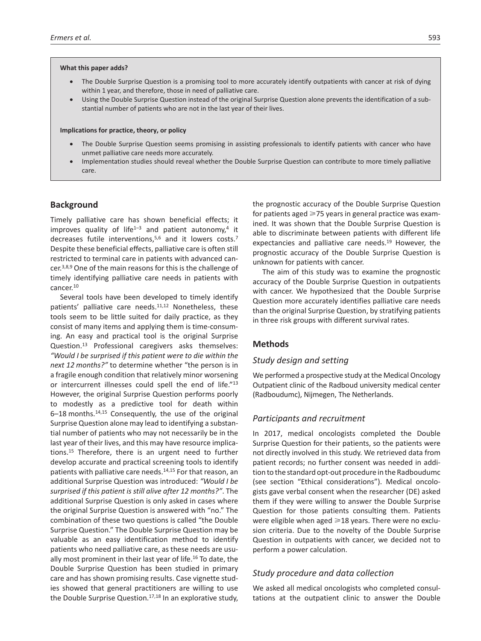#### **What this paper adds?**

- The Double Surprise Question is a promising tool to more accurately identify outpatients with cancer at risk of dying within 1 year, and therefore, those in need of palliative care.
- Using the Double Surprise Question instead of the original Surprise Question alone prevents the identification of a substantial number of patients who are not in the last year of their lives.

### **Implications for practice, theory, or policy**

- The Double Surprise Question seems promising in assisting professionals to identify patients with cancer who have unmet palliative care needs more accurately.
- Implementation studies should reveal whether the Double Surprise Question can contribute to more timely palliative care.

### **Background**

Timely palliative care has shown beneficial effects; it improves quality of life<sup>1-3</sup> and patient autonomy,<sup>4</sup> it decreases futile interventions,<sup>5,6</sup> and it lowers costs.<sup>7</sup> Despite these beneficial effects, palliative care is often still restricted to terminal care in patients with advanced cancer.3,8,9 One of the main reasons for this is the challenge of timely identifying palliative care needs in patients with cancer.10

Several tools have been developed to timely identify patients' palliative care needs.<sup>11,12</sup> Nonetheless, these tools seem to be little suited for daily practice, as they consist of many items and applying them is time-consuming. An easy and practical tool is the original Surprise Question.13 Professional caregivers asks themselves: *"Would I be surprised if this patient were to die within the next 12 months?"* to determine whether "the person is in a fragile enough condition that relatively minor worsening or intercurrent illnesses could spell the end of life."13 However, the original Surprise Question performs poorly to modestly as a predictive tool for death within 6–18 months.14,15 Consequently, the use of the original Surprise Question alone may lead to identifying a substantial number of patients who may not necessarily be in the last year of their lives, and this may have resource implications.15 Therefore, there is an urgent need to further develop accurate and practical screening tools to identify patients with palliative care needs.<sup>14,15</sup> For that reason, an additional Surprise Question was introduced: *"Would I be surprised if this patient is still alive after 12 months?"*. The additional Surprise Question is only asked in cases where the original Surprise Question is answered with "no." The combination of these two questions is called "the Double Surprise Question." The Double Surprise Question may be valuable as an easy identification method to identify patients who need palliative care, as these needs are usually most prominent in their last year of life.<sup>16</sup> To date, the Double Surprise Question has been studied in primary care and has shown promising results. Case vignette studies showed that general practitioners are willing to use the Double Surprise Question.<sup>17,18</sup> In an explorative study, the prognostic accuracy of the Double Surprise Question for patients aged  $\geq$ 75 years in general practice was examined. It was shown that the Double Surprise Question is able to discriminate between patients with different life expectancies and palliative care needs.<sup>19</sup> However, the prognostic accuracy of the Double Surprise Question is unknown for patients with cancer.

The aim of this study was to examine the prognostic accuracy of the Double Surprise Question in outpatients with cancer. We hypothesized that the Double Surprise Question more accurately identifies palliative care needs than the original Surprise Question, by stratifying patients in three risk groups with different survival rates.

## **Methods**

### *Study design and setting*

We performed a prospective study at the Medical Oncology Outpatient clinic of the Radboud university medical center (Radboudumc), Nijmegen, The Netherlands.

## *Participants and recruitment*

In 2017, medical oncologists completed the Double Surprise Question for their patients, so the patients were not directly involved in this study. We retrieved data from patient records; no further consent was needed in addition to the standard opt-out procedure in the Radboudumc (see section "Ethical considerations"). Medical oncologists gave verbal consent when the researcher (DE) asked them if they were willing to answer the Double Surprise Question for those patients consulting them. Patients were eligible when aged  $\geq 18$  years. There were no exclusion criteria. Due to the novelty of the Double Surprise Question in outpatients with cancer, we decided not to perform a power calculation.

## *Study procedure and data collection*

We asked all medical oncologists who completed consultations at the outpatient clinic to answer the Double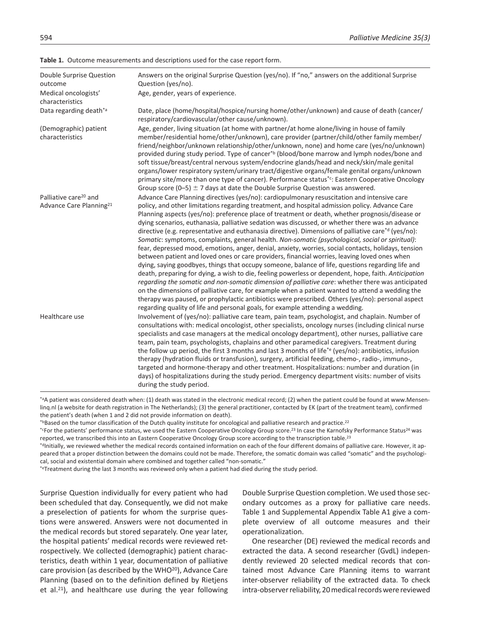| Double Surprise Question<br>outcome      | Answers on the original Surprise Question (yes/no). If "no," answers on the additional Surprise<br>Question (yes/no).                                                                                                                                                                                                                                                                                                                                                                                                                                                                                                                                                                                                                                                                                                                                                                                                                                                                                                                                                                                                                                                                                                                                                                                                                          |
|------------------------------------------|------------------------------------------------------------------------------------------------------------------------------------------------------------------------------------------------------------------------------------------------------------------------------------------------------------------------------------------------------------------------------------------------------------------------------------------------------------------------------------------------------------------------------------------------------------------------------------------------------------------------------------------------------------------------------------------------------------------------------------------------------------------------------------------------------------------------------------------------------------------------------------------------------------------------------------------------------------------------------------------------------------------------------------------------------------------------------------------------------------------------------------------------------------------------------------------------------------------------------------------------------------------------------------------------------------------------------------------------|
| Medical oncologists'<br>characteristics  | Age, gender, years of experience.                                                                                                                                                                                                                                                                                                                                                                                                                                                                                                                                                                                                                                                                                                                                                                                                                                                                                                                                                                                                                                                                                                                                                                                                                                                                                                              |
| Data regarding death* <sup>a</sup>       | Date, place (home/hospital/hospice/nursing home/other/unknown) and cause of death (cancer/<br>respiratory/cardiovascular/other cause/unknown).                                                                                                                                                                                                                                                                                                                                                                                                                                                                                                                                                                                                                                                                                                                                                                                                                                                                                                                                                                                                                                                                                                                                                                                                 |
| (Demographic) patient<br>characteristics | Age, gender, living situation (at home with partner/at home alone/living in house of family<br>member/residential home/other/unknown), care provider (partner/child/other family member/<br>friend/neighbor/unknown relationship/other/unknown, none) and home care (yes/no/unknown)<br>provided during study period. Type of cancer <sup>*b</sup> (blood/bone marrow and lymph nodes/bone and<br>soft tissue/breast/central nervous system/endocrine glands/head and neck/skin/male genital<br>organs/lower respiratory system/urinary tract/digestive organs/female genital organs/unknown<br>primary site/more than one type of cancer). Performance status*c: Eastern Cooperative Oncology<br>Group score (0-5) $\pm$ 7 days at date the Double Surprise Question was answered.                                                                                                                                                                                                                                                                                                                                                                                                                                                                                                                                                            |
| Palliative care <sup>20</sup> and        | Advance Care Planning directives (yes/no): cardiopulmonary resuscitation and intensive care                                                                                                                                                                                                                                                                                                                                                                                                                                                                                                                                                                                                                                                                                                                                                                                                                                                                                                                                                                                                                                                                                                                                                                                                                                                    |
| Advance Care Planning <sup>21</sup>      | policy, and other limitations regarding treatment, and hospital admission policy. Advance Care<br>Planning aspects (yes/no): preference place of treatment or death, whether prognosis/disease or<br>dying scenarios, euthanasia, palliative sedation was discussed, or whether there was an advance<br>directive (e.g. representative and euthanasia directive). Dimensions of palliative care <sup>*d</sup> (yes/no):<br>Somatic: symptoms, complaints, general health. Non-somatic (psychological, social or spiritual):<br>fear, depressed mood, emotions, anger, denial, anxiety, worries, social contacts, holidays, tension<br>between patient and loved ones or care providers, financial worries, leaving loved ones when<br>dying, saying goodbyes, things that occupy someone, balance of life, questions regarding life and<br>death, preparing for dying, a wish to die, feeling powerless or dependent, hope, faith. Anticipation<br>regarding the somatic and non-somatic dimension of palliative care: whether there was anticipated<br>on the dimensions of palliative care, for example when a patient wanted to attend a wedding the<br>therapy was paused, or prophylactic antibiotics were prescribed. Others (yes/no): personal aspect<br>regarding quality of life and personal goals, for example attending a wedding. |
| Healthcare use                           | Involvement of (yes/no): palliative care team, pain team, psychologist, and chaplain. Number of<br>consultations with: medical oncologist, other specialists, oncology nurses (including clinical nurse<br>specialists and case managers at the medical oncology department), other nurses, palliative care<br>team, pain team, psychologists, chaplains and other paramedical caregivers. Treatment during<br>the follow up period, the first 3 months and last 3 months of life <sup>*e</sup> (yes/no): antibiotics, infusion<br>therapy (hydration fluids or transfusion), surgery, artificial feeding, chemo-, radio-, immuno-,<br>targeted and hormone-therapy and other treatment. Hospitalizations: number and duration (in<br>days) of hospitalizations during the study period. Emergency department visits: number of visits<br>during the study period.                                                                                                                                                                                                                                                                                                                                                                                                                                                                             |

**Table 1.** Outcome measurements and descriptions used for the case report form.

\*aA patient was considered death when: (1) death was stated in the electronic medical record; (2) when the patient could be found at [www.Mensen](www.Mensenlinq.nl)[linq.nl](www.Mensenlinq.nl) (a website for death registration in The Netherlands); (3) the general practitioner, contacted by EK (part of the treatment team), confirmed the patient's death (when 1 and 2 did not provide information on death).

\*Based on the tumor classification of the Dutch quality institute for oncological and palliative research and practice.<sup>22</sup>

\*CFor the patients' performance status, we used the Eastern Cooperative Oncology Group score.<sup>23</sup> In case the Karnofsky Performance Status<sup>24</sup> was reported, we transcribed this into an Eastern Cooperative Oncology Group score according to the transcription table.<sup>23</sup>

\*dInitially, we reviewed whether the medical records contained information on each of the four different domains of palliative care. However, it appeared that a proper distinction between the domains could not be made. Therefore, the somatic domain was called "somatic" and the psychological, social and existential domain where combined and together called "non-somatic."

\*eTreatment during the last 3 months was reviewed only when a patient had died during the study period.

Surprise Question individually for every patient who had been scheduled that day. Consequently, we did not make a preselection of patients for whom the surprise questions were answered. Answers were not documented in the medical records but stored separately. One year later, the hospital patients' medical records were reviewed retrospectively. We collected (demographic) patient characteristics, death within 1 year, documentation of palliative care provision (as described by the WHO<sup>20</sup>), Advance Care Planning (based on to the definition defined by Rietjens et al.21), and healthcare use during the year following

Double Surprise Question completion. We used those secondary outcomes as a proxy for palliative care needs. Table 1 and Supplemental Appendix Table A1 give a complete overview of all outcome measures and their operationalization.

One researcher (DE) reviewed the medical records and extracted the data. A second researcher (GvdL) independently reviewed 20 selected medical records that contained most Advance Care Planning items to warrant inter-observer reliability of the extracted data. To check intra-observer reliability, 20 medical records were reviewed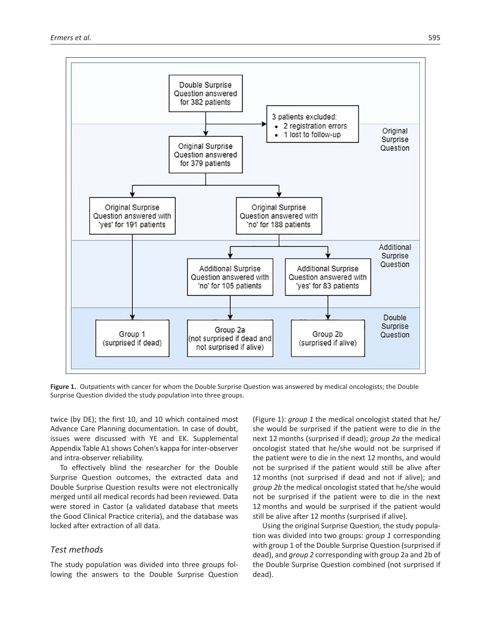

**Figure 1.** Outpatients with cancer for whom the Double Surprise Question was answered by medical oncologists; the Double Surprise Question divided the study population into three groups.

twice (by DE); the first 10, and 10 which contained most Advance Care Planning documentation. In case of doubt, issues were discussed with YE and EK. Supplemental Appendix Table A1 shows Cohen's kappa for inter-observer and intra-observer reliability.

To effectively blind the researcher for the Double Surprise Question outcomes, the extracted data and Double Surprise Question results were not electronically merged until all medical records had been reviewed. Data were stored in Castor (a validated database that meets the Good Clinical Practice criteria), and the database was locked after extraction of all data.

# *Test methods*

The study population was divided into three groups following the answers to the Double Surprise Question (Figure 1): *group 1* the medical oncologist stated that he/ she would be surprised if the patient were to die in the next 12 months (surprised if dead); *group 2a* the medical oncologist stated that he/she would not be surprised if the patient were to die in the next 12 months, and would not be surprised if the patient would still be alive after 12 months (not surprised if dead and not if alive); and *group 2b* the medical oncologist stated that he/she would not be surprised if the patient were to die in the next 12 months and would be surprised if the patient would still be alive after 12 months (surprised if alive).

Using the original Surprise Question, the study population was divided into two groups: *group 1* corresponding with group 1 of the Double Surprise Question (surprised if dead), and *group 2* corresponding with group 2a and 2b of the Double Surprise Question combined (not surprised if dead).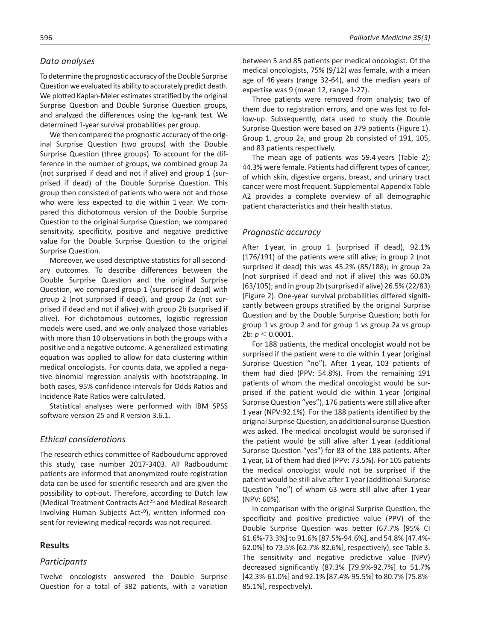# *Data analyses*

To determine the prognostic accuracy of the Double Surprise Question we evaluated its ability to accurately predict death. We plotted Kaplan-Meier estimates stratified by the original Surprise Question and Double Surprise Question groups, and analyzed the differences using the log-rank test. We determined 1-year survival probabilities per group.

We then compared the prognostic accuracy of the original Surprise Question (two groups) with the Double Surprise Question (three groups). To account for the difference in the number of groups, we combined group 2a (not surprised if dead and not if alive) and group 1 (surprised if dead) of the Double Surprise Question. This group then consisted of patients who were not and those who were less expected to die within 1 year. We compared this dichotomous version of the Double Surprise Question to the original Surprise Question; we compared sensitivity, specificity, positive and negative predictive value for the Double Surprise Question to the original Surprise Question.

Moreover, we used descriptive statistics for all secondary outcomes. To describe differences between the Double Surprise Question and the original Surprise Question, we compared group 1 (surprised if dead) with group 2 (not surprised if dead), and group 2a (not surprised if dead and not if alive) with group 2b (surprised if alive). For dichotomous outcomes, logistic regression models were used, and we only analyzed those variables with more than 10 observations in both the groups with a positive and a negative outcome. A generalized estimating equation was applied to allow for data clustering within medical oncologists. For counts data, we applied a negative binomial regression analysis with bootstrapping. In both cases, 95% confidence intervals for Odds Ratios and Incidence Rate Ratios were calculated.

Statistical analyses were performed with IBM SPSS software version 25 and R version 3.6.1.

## *Ethical considerations*

The research ethics committee of Radboudumc approved this study, case number 2017-3403. All Radboudumc patients are informed that anonymized route registration data can be used for scientific research and are given the possibility to opt-out. Therefore, according to Dutch law (Medical Treatment Contracts Act25 and Medical Research Involving Human Subjects Act<sup>10</sup>), written informed consent for reviewing medical records was not required.

## **Results**

### *Participants*

Twelve oncologists answered the Double Surprise Question for a total of 382 patients, with a variation between 5 and 85 patients per medical oncologist. Of the medical oncologists, 75% (9/12) was female, with a mean age of 46 years (range 32-64), and the median years of expertise was 9 (mean 12, range 1-27).

Three patients were removed from analysis; two of them due to registration errors, and one was lost to follow-up. Subsequently, data used to study the Double Surprise Question were based on 379 patients (Figure 1). Group 1, group 2a, and group 2b consisted of 191, 105, and 83 patients respectively.

The mean age of patients was 59.4 years (Table 2); 44.3% were female. Patients had different types of cancer, of which skin, digestive organs, breast, and urinary tract cancer were most frequent. Supplemental Appendix Table A2 provides a complete overview of all demographic patient characteristics and their health status.

### *Prognostic accuracy*

After 1 year, in group 1 (surprised if dead), 92.1% (176/191) of the patients were still alive; in group 2 (not surprised if dead) this was 45.2% (85/188); in group 2a (not surprised if dead and not if alive) this was 60.0% (63/105); and in group 2b (surprised if alive) 26.5% (22/83) (Figure 2). One-year survival probabilities differed significantly between groups stratified by the original Surprise Question and by the Double Surprise Question; both for group 1 vs group 2 and for group 1 vs group 2a vs group 2b: *p* < 0.0001.

For 188 patients, the medical oncologist would not be surprised if the patient were to die within 1 year (original Surprise Question "no"). After 1 year, 103 patients of them had died (PPV: 54.8%). From the remaining 191 patients of whom the medical oncologist would be surprised if the patient would die within 1 year (original Surprise Question "yes"), 176 patients were still alive after 1 year (NPV:92.1%). For the 188 patients identified by the original Surprise Question, an additional surprise Question was asked. The medical oncologist would be surprised if the patient would be still alive after 1 year (additional Surprise Question "yes") for 83 of the 188 patients. After 1 year, 61 of them had died (PPV: 73.5%). For 105 patients the medical oncologist would not be surprised if the patient would be still alive after 1 year (additional Surprise Question "no") of whom 63 were still alive after 1 year (NPV: 60%).

In comparison with the original Surprise Question, the specificity and positive predictive value (PPV) of the Double Surprise Question was better (67.7% [95% CI 61.6%-73.3%] to 91.6% [87.5%-94.6%], and 54.8% [47.4%- 62.0%] to 73.5% [62.7%-82.6%], respectively), see Table 3. The sensitivity and negative predictive value (NPV) decreased significantly (87.3% [79.9%-92.7%] to 51.7% [42.3%-61.0%] and 92.1% [87.4%-95.5%] to 80.7% [75.8%- 85.1%], respectively).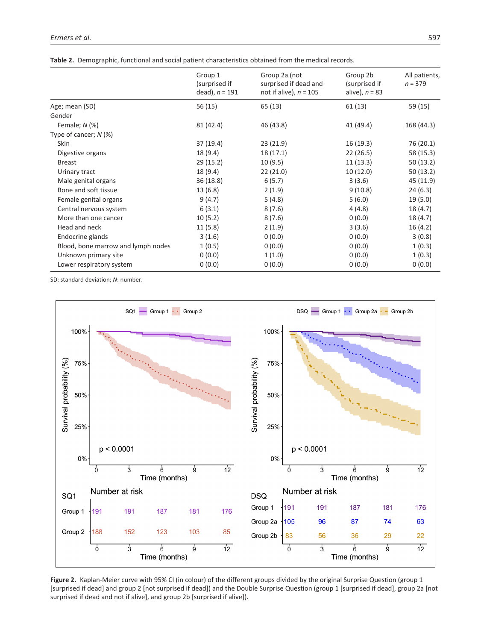|                                    | Group 1<br>(surprised if<br>dead), $n = 191$ | Group 2a (not<br>surprised if dead and<br>not if alive), $n = 105$ | Group 2b<br>(surprised if<br>alive), $n = 83$ | All patients,<br>$n = 379$ |
|------------------------------------|----------------------------------------------|--------------------------------------------------------------------|-----------------------------------------------|----------------------------|
| Age; mean (SD)                     | 56 (15)                                      | 65 (13)                                                            | 61(13)                                        | 59 (15)                    |
| Gender                             |                                              |                                                                    |                                               |                            |
| Female; $N$ (%)                    | 81 (42.4)                                    | 46 (43.8)                                                          | 41 (49.4)                                     | 168 (44.3)                 |
| Type of cancer; $N$ (%)            |                                              |                                                                    |                                               |                            |
| <b>Skin</b>                        | 37(19.4)                                     | 23(21.9)                                                           | 16(19.3)                                      | 76 (20.1)                  |
| Digestive organs                   | 18 (9.4)                                     | 18 (17.1)                                                          | 22(26.5)                                      | 58 (15.3)                  |
| <b>Breast</b>                      | 29 (15.2)                                    | 10(9.5)                                                            | 11(13.3)                                      | 50(13.2)                   |
| Urinary tract                      | 18 (9.4)                                     | 22(21.0)                                                           | 10(12.0)                                      | 50(13.2)                   |
| Male genital organs                | 36 (18.8)                                    | 6(5.7)                                                             | 3(3.6)                                        | 45 (11.9)                  |
| Bone and soft tissue               | 13(6.8)                                      | 2(1.9)                                                             | 9(10.8)                                       | 24(6.3)                    |
| Female genital organs              | 9(4.7)                                       | 5(4.8)                                                             | 5(6.0)                                        | 19(5.0)                    |
| Central nervous system             | 6(3.1)                                       | 8(7.6)                                                             | 4(4.8)                                        | 18 (4.7)                   |
| More than one cancer               | 10(5.2)                                      | 8(7.6)                                                             | 0(0.0)                                        | 18 (4.7)                   |
| Head and neck                      | 11(5.8)                                      | 2(1.9)                                                             | 3(3.6)                                        | 16(4.2)                    |
| Endocrine glands                   | 3(1.6)                                       | 0(0.0)                                                             | 0(0.0)                                        | 3(0.8)                     |
| Blood, bone marrow and lymph nodes | 1(0.5)                                       | 0(0.0)                                                             | 0(0.0)                                        | 1(0.3)                     |
| Unknown primary site               | 0(0.0)                                       | 1(1.0)                                                             | 0(0.0)                                        | 1(0.3)                     |
| Lower respiratory system           | 0(0.0)                                       | 0(0.0)                                                             | 0(0.0)                                        | 0(0.0)                     |

SD: standard deviation; *N*: number.



**Figure 2.** Kaplan-Meier curve with 95% CI (in colour) of the different groups divided by the original Surprise Question (group 1 [surprised if dead] and group 2 [not surprised if dead]) and the Double Surprise Question (group 1 [surprised if dead], group 2a [not surprised if dead and not if alive], and group 2b [surprised if alive]).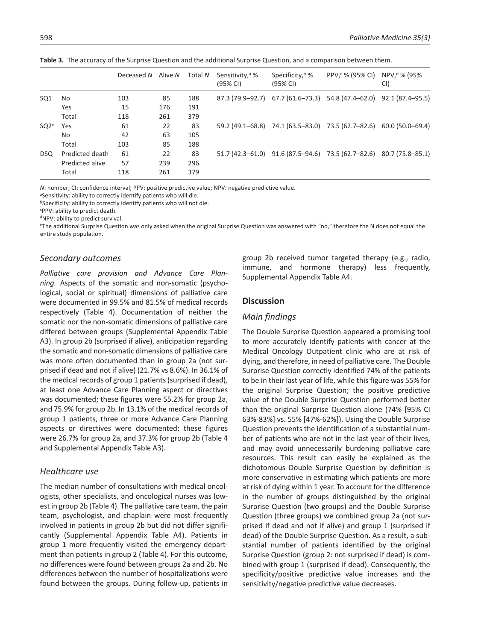|                  |                 | Deceased N | Alive N | Total N | Sensitivity, <sup>a</sup> %<br>(95% CI) | Specificity, b %<br>(95% CI) | PPV, $\frac{6}{5}$ % (95% CI) NPV, $\frac{d}{d}$ % (95%             | CI) |
|------------------|-----------------|------------|---------|---------|-----------------------------------------|------------------------------|---------------------------------------------------------------------|-----|
| SQ <sub>1</sub>  | No              | 103        | 85      | 188     |                                         |                              | 87.3 (79.9–92.7) 67.7 (61.6–73.3) 54.8 (47.4–62.0) 92.1 (87.4–95.5) |     |
|                  | Yes             | 15         | 176     | 191     |                                         |                              |                                                                     |     |
|                  | Total           | 118        | 261     | 379     |                                         |                              |                                                                     |     |
| SO2 <sup>e</sup> | Yes             | 61         | 22      | 83      |                                         |                              | 59.2 (49.1–68.8) 74.1 (63.5–83.0) 73.5 (62.7–82.6) 60.0 (50.0–69.4) |     |
|                  | No              | 42         | 63      | 105     |                                         |                              |                                                                     |     |
|                  | Total           | 103        | 85      | 188     |                                         |                              |                                                                     |     |
| DSQ.             | Predicted death | 61         | 22      | 83      |                                         |                              | 51.7 (42.3-61.0) 91.6 (87.5-94.6) 73.5 (62.7-82.6) 80.7 (75.8-85.1) |     |
|                  | Predicted alive | 57         | 239     | 296     |                                         |                              |                                                                     |     |
|                  | Total           | 118        | 261     | 379     |                                         |                              |                                                                     |     |

**Table 3.** The accuracy of the Surprise Question and the additional Surprise Question, and a comparison between them.

*N*: number; CI: confidence interval; PPV: positive predictive value; NPV: negative predictive value.

aSensitivity: ability to correctly identify patients who will die.

**bSpecificity: ability to correctly identify patients who will not die.** 

c PPV: ability to predict death.

dNPV: ability to predict survival.

eThe additional Surprise Question was only asked when the original Surprise Question was answered with "no," therefore the N does not equal the entire study population.

### *Secondary outcomes*

*Palliative care provision and Advance Care Planning.* Aspects of the somatic and non-somatic (psychological, social or spiritual) dimensions of palliative care were documented in 99.5% and 81.5% of medical records respectively (Table 4). Documentation of neither the somatic nor the non-somatic dimensions of palliative care differed between groups (Supplemental Appendix Table A3). In group 2b (surprised if alive), anticipation regarding the somatic and non-somatic dimensions of palliative care was more often documented than in group 2a (not surprised if dead and not if alive) (21.7% vs 8.6%). In 36.1% of the medical records of group 1 patients (surprised if dead), at least one Advance Care Planning aspect or directives was documented; these figures were 55.2% for group 2a, and 75.9% for group 2b. In 13.1% of the medical records of group 1 patients, three or more Advance Care Planning aspects or directives were documented; these figures were 26.7% for group 2a, and 37.3% for group 2b (Table 4 and Supplemental Appendix Table A3).

## *Healthcare use*

The median number of consultations with medical oncologists, other specialists, and oncological nurses was lowest in group 2b (Table 4). The palliative care team, the pain team, psychologist, and chaplain were most frequently involved in patients in group 2b but did not differ significantly (Supplemental Appendix Table A4). Patients in group 1 more frequently visited the emergency department than patients in group 2 (Table 4). For this outcome, no differences were found between groups 2a and 2b. No differences between the number of hospitalizations were found between the groups. During follow-up, patients in group 2b received tumor targeted therapy (e.g., radio, immune, and hormone therapy) less frequently, Supplemental Appendix Table A4.

### **Discussion**

## *Main findings*

The Double Surprise Question appeared a promising tool to more accurately identify patients with cancer at the Medical Oncology Outpatient clinic who are at risk of dying, and therefore, in need of palliative care. The Double Surprise Question correctly identified 74% of the patients to be in their last year of life, while this figure was 55% for the original Surprise Question; the positive predictive value of the Double Surprise Question performed better than the original Surprise Question alone (74% [95% CI 63%-83%] vs. 55% [47%-62%]). Using the Double Surprise Question prevents the identification of a substantial number of patients who are not in the last year of their lives, and may avoid unnecessarily burdening palliative care resources. This result can easily be explained as the dichotomous Double Surprise Question by definition is more conservative in estimating which patients are more at risk of dying within 1 year. To account for the difference in the number of groups distinguished by the original Surprise Question (two groups) and the Double Surprise Question (three groups) we combined group 2a (not surprised if dead and not if alive) and group 1 (surprised if dead) of the Double Surprise Question. As a result, a substantial number of patients identified by the original Surprise Question (group 2: not surprised if dead) is combined with group 1 (surprised if dead). Consequently, the specificity/positive predictive value increases and the sensitivity/negative predictive value decreases.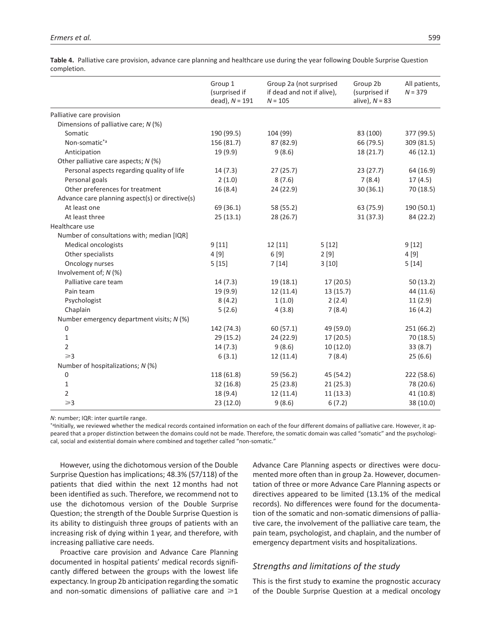|                                                 | Group 1<br>(surprised if<br>dead), $N = 191$ | Group 2a (not surprised<br>if dead and not if alive),<br>$N = 105$ |           | Group 2b<br>(surprised if<br>alive), $N = 83$ | All patients,<br>$N = 379$ |
|-------------------------------------------------|----------------------------------------------|--------------------------------------------------------------------|-----------|-----------------------------------------------|----------------------------|
| Palliative care provision                       |                                              |                                                                    |           |                                               |                            |
| Dimensions of palliative care; N (%)            |                                              |                                                                    |           |                                               |                            |
| Somatic                                         | 190 (99.5)                                   | 104 (99)                                                           |           | 83 (100)                                      | 377 (99.5)                 |
| Non-somatic*ª                                   | 156 (81.7)                                   | 87 (82.9)                                                          |           | 66 (79.5)                                     | 309 (81.5)                 |
| Anticipation                                    | 19 (9.9)                                     | 9(8.6)                                                             |           | 18 (21.7)                                     | 46 (12.1)                  |
| Other palliative care aspects; N (%)            |                                              |                                                                    |           |                                               |                            |
| Personal aspects regarding quality of life      | 14(7.3)                                      | 27(25.7)                                                           |           | 23(27.7)                                      | 64 (16.9)                  |
| Personal goals                                  | 2(1.0)                                       | 8(7.6)                                                             |           | 7(8.4)                                        | 17(4.5)                    |
| Other preferences for treatment                 | 16(8.4)                                      | 24 (22.9)                                                          |           | 30(36.1)                                      | 70 (18.5)                  |
| Advance care planning aspect(s) or directive(s) |                                              |                                                                    |           |                                               |                            |
| At least one                                    | 69 (36.1)                                    | 58 (55.2)                                                          |           | 63 (75.9)                                     | 190 (50.1)                 |
| At least three                                  | 25(13.1)                                     | 28 (26.7)                                                          |           | 31(37.3)                                      | 84 (22.2)                  |
| Healthcare use                                  |                                              |                                                                    |           |                                               |                            |
| Number of consultations with; median [IQR]      |                                              |                                                                    |           |                                               |                            |
| Medical oncologists                             | 9[11]                                        | 12 [11]                                                            | 5[12]     |                                               | 9[12]                      |
| Other specialists                               | 4[9]                                         | 6[9]                                                               | 2[9]      |                                               | 4 [9]                      |
| Oncology nurses                                 | 5[15]                                        | 7[14]                                                              | 3[10]     |                                               | 5[14]                      |
| Involvement of; N (%)                           |                                              |                                                                    |           |                                               |                            |
| Palliative care team                            | 14(7.3)                                      | 19 (18.1)                                                          | 17 (20.5) |                                               | 50(13.2)                   |
| Pain team                                       | 19 (9.9)                                     | 12(11.4)                                                           | 13(15.7)  |                                               | 44 (11.6)                  |
| Psychologist                                    | 8(4.2)                                       | 1(1.0)                                                             | 2(2.4)    |                                               | 11(2.9)                    |
| Chaplain                                        | 5(2.6)                                       | 4(3.8)                                                             | 7(8.4)    |                                               | 16(4.2)                    |
| Number emergency department visits; N (%)       |                                              |                                                                    |           |                                               |                            |
| 0                                               | 142 (74.3)                                   | 60(57.1)                                                           | 49 (59.0) |                                               | 251 (66.2)                 |
| 1                                               | 29 (15.2)                                    | 24 (22.9)                                                          | 17 (20.5) |                                               | 70 (18.5)                  |
| $\overline{2}$                                  | 14(7.3)                                      | 9(8.6)                                                             | 10(12.0)  |                                               | 33(8.7)                    |
| $\geq 3$                                        | 6(3.1)                                       | 12(11.4)                                                           | 7(8.4)    |                                               | 25(6.6)                    |
| Number of hospitalizations; N (%)               |                                              |                                                                    |           |                                               |                            |
| 0                                               | 118 (61.8)                                   | 59 (56.2)                                                          | 45 (54.2) |                                               | 222 (58.6)                 |
| 1                                               | 32(16.8)                                     | 25(23.8)                                                           | 21(25.3)  |                                               | 78 (20.6)                  |
| $\overline{2}$                                  | 18 (9.4)                                     | 12(11.4)                                                           | 11(13.3)  |                                               | 41 (10.8)                  |
| $\geqslant$ 3                                   | 23(12.0)                                     | 9(8.6)                                                             | 6(7.2)    |                                               | 38 (10.0)                  |

**Table 4.** Palliative care provision, advance care planning and healthcare use during the year following Double Surprise Question completion.

*N*: number; IQR: inter quartile range.

\*aInitially, we reviewed whether the medical records contained information on each of the four different domains of palliative care. However, it appeared that a proper distinction between the domains could not be made. Therefore, the somatic domain was called "somatic" and the psychological, social and existential domain where combined and together called "non-somatic."

However, using the dichotomous version of the Double Surprise Question has implications; 48.3% (57/118) of the patients that died within the next 12 months had not been identified as such. Therefore, we recommend not to use the dichotomous version of the Double Surprise Question; the strength of the Double Surprise Question is its ability to distinguish three groups of patients with an increasing risk of dying within 1 year, and therefore, with increasing palliative care needs.

Proactive care provision and Advance Care Planning documented in hospital patients' medical records significantly differed between the groups with the lowest life expectancy. In group 2b anticipation regarding the somatic and non-somatic dimensions of palliative care and  $\geq 1$  Advance Care Planning aspects or directives were documented more often than in group 2a. However, documentation of three or more Advance Care Planning aspects or directives appeared to be limited (13.1% of the medical records). No differences were found for the documentation of the somatic and non-somatic dimensions of palliative care, the involvement of the palliative care team, the pain team, psychologist, and chaplain, and the number of emergency department visits and hospitalizations.

# *Strengths and limitations of the study*

This is the first study to examine the prognostic accuracy of the Double Surprise Question at a medical oncology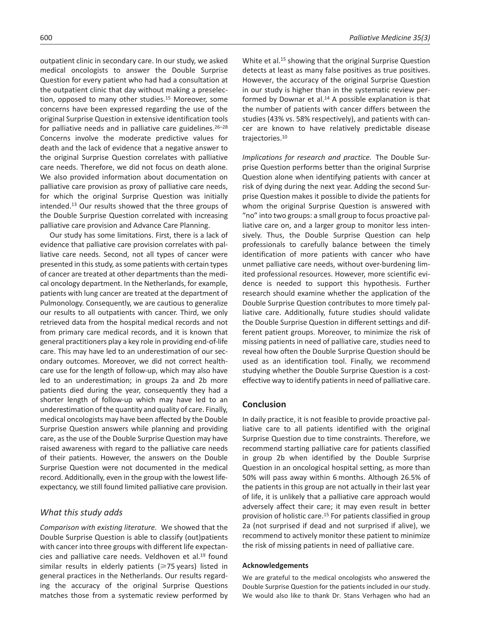outpatient clinic in secondary care. In our study, we asked medical oncologists to answer the Double Surprise Question for every patient who had had a consultation at the outpatient clinic that day without making a preselection, opposed to many other studies.<sup>15</sup> Moreover, some concerns have been expressed regarding the use of the original Surprise Question in extensive identification tools for palliative needs and in palliative care guidelines.<sup>26-28</sup> Concerns involve the moderate predictive values for death and the lack of evidence that a negative answer to the original Surprise Question correlates with palliative care needs. Therefore, we did not focus on death alone. We also provided information about documentation on palliative care provision as proxy of palliative care needs, for which the original Surprise Question was initially intended.13 Our results showed that the three groups of the Double Surprise Question correlated with increasing palliative care provision and Advance Care Planning.

Our study has some limitations. First, there is a lack of evidence that palliative care provision correlates with palliative care needs. Second, not all types of cancer were presented in this study, as some patients with certain types of cancer are treated at other departments than the medical oncology department. In the Netherlands, for example, patients with lung cancer are treated at the department of Pulmonology. Consequently, we are cautious to generalize our results to all outpatients with cancer. Third, we only retrieved data from the hospital medical records and not from primary care medical records, and it is known that general practitioners play a key role in providing end-of-life care. This may have led to an underestimation of our secondary outcomes. Moreover, we did not correct healthcare use for the length of follow-up, which may also have led to an underestimation; in groups 2a and 2b more patients died during the year, consequently they had a shorter length of follow-up which may have led to an underestimation of the quantity and quality of care. Finally, medical oncologists may have been affected by the Double Surprise Question answers while planning and providing care, as the use of the Double Surprise Question may have raised awareness with regard to the palliative care needs of their patients. However, the answers on the Double Surprise Question were not documented in the medical record. Additionally, even in the group with the lowest lifeexpectancy, we still found limited palliative care provision.

## *What this study adds*

*Comparison with existing literature.* We showed that the Double Surprise Question is able to classify (out)patients with cancer into three groups with different life expectancies and palliative care needs. Veldhoven et al.19 found similar results in elderly patients ( $\geq$ 75 years) listed in general practices in the Netherlands. Our results regarding the accuracy of the original Surprise Questions matches those from a systematic review performed by White et al.15 showing that the original Surprise Question detects at least as many false positives as true positives. However, the accuracy of the original Surprise Question in our study is higher than in the systematic review performed by Downar et al.14 A possible explanation is that the number of patients with cancer differs between the studies (43% vs. 58% respectively), and patients with cancer are known to have relatively predictable disease trajectories.10

*Implications for research and practice.* The Double Surprise Question performs better than the original Surprise Question alone when identifying patients with cancer at risk of dying during the next year. Adding the second Surprise Question makes it possible to divide the patients for whom the original Surprise Question is answered with "no" into two groups: a small group to focus proactive palliative care on, and a larger group to monitor less intensively. Thus, the Double Surprise Question can help professionals to carefully balance between the timely identification of more patients with cancer who have unmet palliative care needs, without over-burdening limited professional resources. However, more scientific evidence is needed to support this hypothesis. Further research should examine whether the application of the Double Surprise Question contributes to more timely palliative care. Additionally, future studies should validate the Double Surprise Question in different settings and different patient groups. Moreover, to minimize the risk of missing patients in need of palliative care, studies need to reveal how often the Double Surprise Question should be used as an identification tool. Finally, we recommend studying whether the Double Surprise Question is a costeffective way to identify patients in need of palliative care.

## **Conclusion**

In daily practice, it is not feasible to provide proactive palliative care to all patients identified with the original Surprise Question due to time constraints. Therefore, we recommend starting palliative care for patients classified in group 2b when identified by the Double Surprise Question in an oncological hospital setting, as more than 50% will pass away within 6 months. Although 26.5% of the patients in this group are not actually in their last year of life, it is unlikely that a palliative care approach would adversely affect their care; it may even result in better provision of holistic care.15 For patients classified in group 2a (not surprised if dead and not surprised if alive), we recommend to actively monitor these patient to minimize the risk of missing patients in need of palliative care.

#### **Acknowledgements**

We are grateful to the medical oncologists who answered the Double Surprise Question for the patients included in our study. We would also like to thank Dr. Stans Verhagen who had an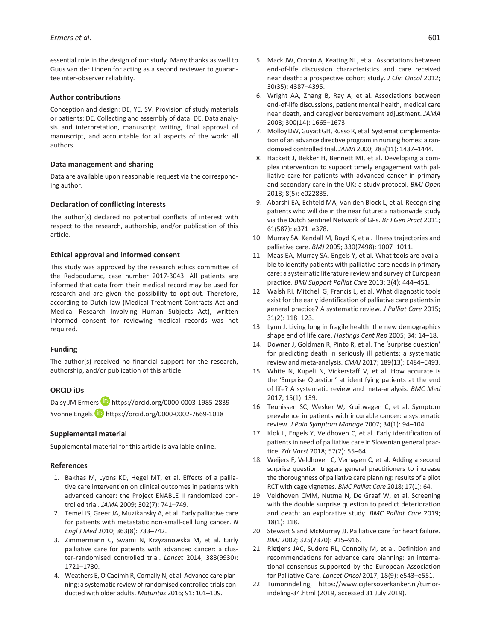essential role in the design of our study. Many thanks as well to Guus van der Linden for acting as a second reviewer to guarantee inter-observer reliability.

#### **Author contributions**

Conception and design: DE, YE, SV. Provision of study materials or patients: DE. Collecting and assembly of data: DE. Data analysis and interpretation, manuscript writing, final approval of manuscript, and accountable for all aspects of the work: all authors.

#### **Data management and sharing**

Data are available upon reasonable request via the corresponding author.

#### **Declaration of conflicting interests**

The author(s) declared no potential conflicts of interest with respect to the research, authorship, and/or publication of this article.

### **Ethical approval and informed consent**

This study was approved by the research ethics committee of the Radboudumc, case number 2017-3043. All patients are informed that data from their medical record may be used for research and are given the possibility to opt-out. Therefore, according to Dutch law (Medical Treatment Contracts Act and Medical Research Involving Human Subjects Act), written informed consent for reviewing medical records was not required.

#### **Funding**

The author(s) received no financial support for the research, authorship, and/or publication of this article.

### **ORCID iDs**

Daisy JM Ermers **D** <https://orcid.org/0000-0003-1985-2839> Yvonne Engels **D** <https://orcid.org/0000-0002-7669-1018>

#### **Supplemental material**

Supplemental material for this article is available online.

#### **References**

- 1. Bakitas M, Lyons KD, Hegel MT, et al. Effects of a palliative care intervention on clinical outcomes in patients with advanced cancer: the Project ENABLE II randomized controlled trial. *JAMA* 2009; 302(7): 741–749.
- 2. Temel JS, Greer JA, Muzikansky A, et al. Early palliative care for patients with metastatic non-small-cell lung cancer. *N Engl J Med* 2010; 363(8): 733–742.
- 3. Zimmermann C, Swami N, Krzyzanowska M, et al. Early palliative care for patients with advanced cancer: a cluster-randomised controlled trial. *Lancet* 2014; 383(9930): 1721–1730.
- 4. Weathers E, O'Caoimh R, Cornally N, et al. Advance care planning: a systematic review of randomised controlled trials conducted with older adults. *Maturitas* 2016; 91: 101–109.
- 5. Mack JW, Cronin A, Keating NL, et al. Associations between end-of-life discussion characteristics and care received near death: a prospective cohort study. *J Clin Oncol* 2012; 30(35): 4387–4395.
- 6. Wright AA, Zhang B, Ray A, et al. Associations between end-of-life discussions, patient mental health, medical care near death, and caregiver bereavement adjustment. *JAMA* 2008; 300(14): 1665–1673.
- 7. Molloy DW, Guyatt GH, Russo R, etal. Systematic implementation of an advance directive program in nursing homes: a randomized controlled trial. *JAMA* 2000; 283(11): 1437–1444.
- 8. Hackett J, Bekker H, Bennett MI, et al. Developing a complex intervention to support timely engagement with palliative care for patients with advanced cancer in primary and secondary care in the UK: a study protocol. *BMJ Open* 2018; 8(5): e022835.
- 9. Abarshi EA, Echteld MA, Van den Block L, et al. Recognising patients who will die in the near future: a nationwide study via the Dutch Sentinel Network of GPs. *Br J Gen Pract* 2011; 61(587): e371–e378.
- 10. Murray SA, Kendall M, Boyd K, et al. Illness trajectories and palliative care. *BMJ* 2005; 330(7498): 1007–1011.
- 11. Maas EA, Murray SA, Engels Y, et al. What tools are available to identify patients with palliative care needs in primary care: a systematic literature review and survey of European practice. *BMJ Support Palliat Care* 2013; 3(4): 444–451.
- 12. Walsh RI, Mitchell G, Francis L, et al. What diagnostic tools exist for the early identification of palliative care patients in general practice? A systematic review. *J Palliat Care* 2015; 31(2): 118–123.
- 13. Lynn J. Living long in fragile health: the new demographics shape end of life care. *Hastings Cent Rep* 2005; 34: 14–18.
- 14. Downar J, Goldman R, Pinto R, et al. The 'surprise question' for predicting death in seriously ill patients: a systematic review and meta-analysis. *CMAJ* 2017; 189(13): E484–E493.
- 15. White N, Kupeli N, Vickerstaff V, et al. How accurate is the 'Surprise Question' at identifying patients at the end of life? A systematic review and meta-analysis. *BMC Med* 2017; 15(1): 139.
- 16. Teunissen SC, Wesker W, Kruitwagen C, et al. Symptom prevalence in patients with incurable cancer: a systematic review. *J Pain Symptom Manage* 2007; 34(1): 94–104.
- 17. Klok L, Engels Y, Veldhoven C, et al. Early identification of patients in need of palliative care in Slovenian general practice. *Zdr Varst* 2018; 57(2): 55–64.
- 18. Weijers F, Veldhoven C, Verhagen C, et al. Adding a second surprise question triggers general practitioners to increase the thoroughness of palliative care planning: results of a pilot RCT with cage vignettes. *BMC Palliat Care* 2018; 17(1): 64.
- 19. Veldhoven CMM, Nutma N, De Graaf W, et al. Screening with the double surprise question to predict deterioration and death: an explorative study. *BMC Palliat Care* 2019; 18(1): 118.
- 20. Stewart S and McMurray JJ. Palliative care for heart failure. *BMJ* 2002; 325(7370): 915–916.
- 21. Rietjens JAC, Sudore RL, Connolly M, et al. Definition and recommendations for advance care planning: an international consensus supported by the European Association for Palliative Care. *Lancet Oncol* 2017; 18(9): e543–e551.
- 22. Tumorindeling, [https://www.cijfersoverkanker.nl/tumor](https://www.cijfersoverkanker.nl/tumorindeling-34.html)[indeling-34.html](https://www.cijfersoverkanker.nl/tumorindeling-34.html) (2019, accessed 31 July 2019).